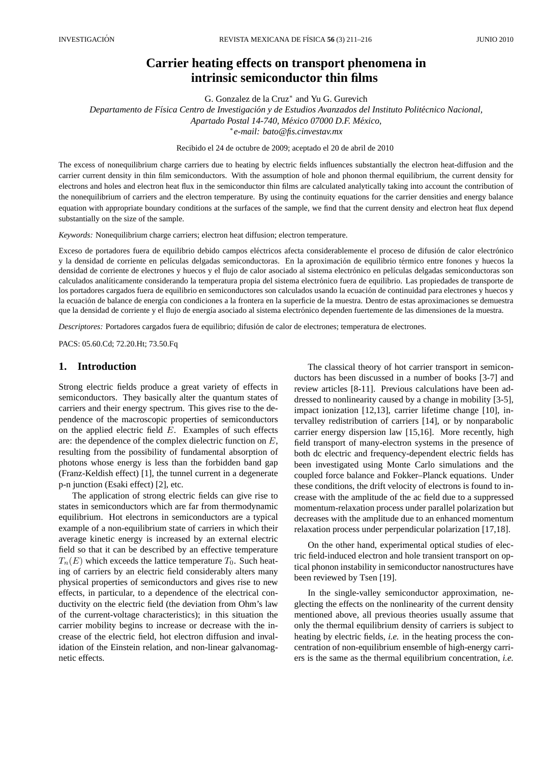# **Carrier heating effects on transport phenomena in intrinsic semiconductor thin films**

G. Gonzalez de la Cruz<sup>∗</sup> and Yu G. Gurevich

*Departamento de F´ısica Centro de Investigacion y de Estudios Avanzados del Instituto Polit ´ ecnico Nacional, ´ Apartado Postal 14-740, Mexico 07000 D.F. M ´ exico, ´* ∗ *e-mail: bato@fis.cinvestav.mx*

Recibido el 24 de octubre de 2009; aceptado el 20 de abril de 2010

The excess of nonequilibrium charge carriers due to heating by electric fields influences substantially the electron heat-diffusion and the carrier current density in thin film semiconductors. With the assumption of hole and phonon thermal equilibrium, the current density for electrons and holes and electron heat flux in the semiconductor thin films are calculated analytically taking into account the contribution of the nonequilibrium of carriers and the electron temperature. By using the continuity equations for the carrier densities and energy balance equation with appropriate boundary conditions at the surfaces of the sample, we find that the current density and electron heat flux depend substantially on the size of the sample.

*Keywords:* Nonequilibrium charge carriers; electron heat diffusion; electron temperature.

Exceso de portadores fuera de equilibrio debido campos eléctricos afecta considerablemente el proceso de difusión de calor electrónico y la densidad de corriente en películas delgadas semiconductoras. En la aproximación de equilibrio térmico entre fonones y huecos la densidad de corriente de electrones y huecos y el flujo de calor asociado al sistema electrónico en películas delgadas semiconductoras son calculados analíticamente considerando la temperatura propia del sistema electrónico fuera de equilibrio. Las propiedades de transporte de los portadores cargados fuera de equilibrio en semiconductores son calculados usando la ecuación de continuidad para electrones y huecos y la ecuación de balance de energía con condiciones a la frontera en la superficie de la muestra. Dentro de estas aproximaciones se demuestra que la densidad de corriente y el flujo de energía asociado al sistema electrónico dependen fuertemente de las dimensiones de la muestra.

*Descriptores:* Portadores cargados fuera de equilibrio; difusion de calor de electrones; temperatura de electrones. ´

PACS: 05.60.Cd; 72.20.Ht; 73.50.Fq

## **1. Introduction**

Strong electric fields produce a great variety of effects in semiconductors. They basically alter the quantum states of carriers and their energy spectrum. This gives rise to the dependence of the macroscopic properties of semiconductors on the applied electric field  $E$ . Examples of such effects are: the dependence of the complex dielectric function on E, resulting from the possibility of fundamental absorption of photons whose energy is less than the forbidden band gap (Franz-Keldish effect) [1], the tunnel current in a degenerate p-n junction (Esaki effect) [2], etc.

The application of strong electric fields can give rise to states in semiconductors which are far from thermodynamic equilibrium. Hot electrons in semiconductors are a typical example of a non-equilibrium state of carriers in which their average kinetic energy is increased by an external electric field so that it can be described by an effective temperature  $T_n(E)$  which exceeds the lattice temperature  $T_0$ . Such heating of carriers by an electric field considerably alters many physical properties of semiconductors and gives rise to new effects, in particular, to a dependence of the electrical conductivity on the electric field (the deviation from Ohm's law of the current-voltage characteristics); in this situation the carrier mobility begins to increase or decrease with the increase of the electric field, hot electron diffusion and invalidation of the Einstein relation, and non-linear galvanomagnetic effects.

The classical theory of hot carrier transport in semiconductors has been discussed in a number of books [3-7] and review articles [8-11]. Previous calculations have been addressed to nonlinearity caused by a change in mobility [3-5], impact ionization [12,13], carrier lifetime change [10], intervalley redistribution of carriers [14], or by nonparabolic carrier energy dispersion law [15,16]. More recently, high field transport of many-electron systems in the presence of both dc electric and frequency-dependent electric fields has been investigated using Monte Carlo simulations and the coupled force balance and Fokker–Planck equations. Under these conditions, the drift velocity of electrons is found to increase with the amplitude of the ac field due to a suppressed momentum-relaxation process under parallel polarization but decreases with the amplitude due to an enhanced momentum relaxation process under perpendicular polarization [17,18].

On the other hand, experimental optical studies of electric field-induced electron and hole transient transport on optical phonon instability in semiconductor nanostructures have been reviewed by Tsen [19].

In the single-valley semiconductor approximation, neglecting the effects on the nonlinearity of the current density mentioned above, all previous theories usually assume that only the thermal equilibrium density of carriers is subject to heating by electric fields, *i.e.* in the heating process the concentration of non-equilibrium ensemble of high-energy carriers is the same as the thermal equilibrium concentration, *i.e.*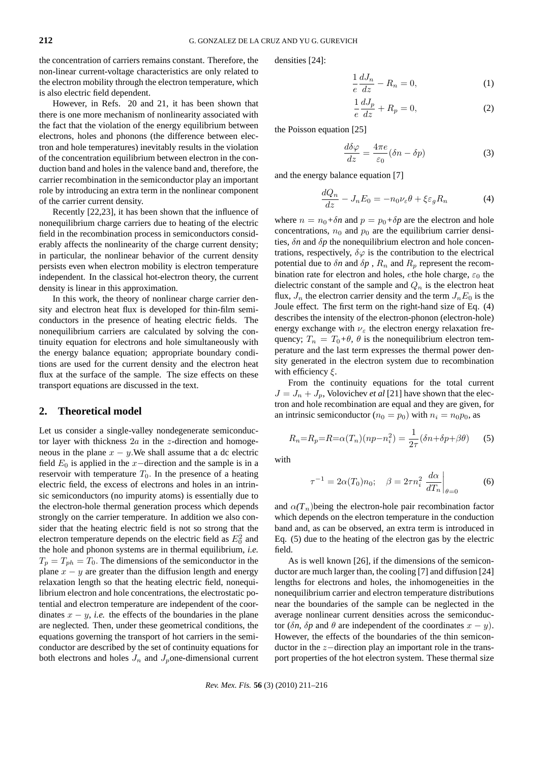the concentration of carriers remains constant. Therefore, the non-linear current-voltage characteristics are only related to the electron mobility through the electron temperature, which is also electric field dependent.

However, in Refs. 20 and 21, it has been shown that there is one more mechanism of nonlinearity associated with the fact that the violation of the energy equilibrium between electrons, holes and phonons (the difference between electron and hole temperatures) inevitably results in the violation of the concentration equilibrium between electron in the conduction band and holes in the valence band and, therefore, the carrier recombination in the semiconductor play an important role by introducing an extra term in the nonlinear component of the carrier current density.

Recently [22,23], it has been shown that the influence of nonequilibrium charge carriers due to heating of the electric field in the recombination process in semiconductors considerably affects the nonlinearity of the charge current density; in particular, the nonlinear behavior of the current density persists even when electron mobility is electron temperature independent. In the classical hot-electron theory, the current density is linear in this approximation.

In this work, the theory of nonlinear charge carrier density and electron heat flux is developed for thin-film semiconductors in the presence of heating electric fields. The nonequilibrium carriers are calculated by solving the continuity equation for electrons and hole simultaneously with the energy balance equation; appropriate boundary conditions are used for the current density and the electron heat flux at the surface of the sample. The size effects on these transport equations are discussed in the text.

#### **2. Theoretical model**

Let us consider a single-valley nondegenerate semiconductor layer with thickness  $2a$  in the *z*-direction and homogeneous in the plane  $x - y$ . We shall assume that a dc electric field  $E_0$  is applied in the x-direction and the sample is in a reservoir with temperature  $T_0$ . In the presence of a heating electric field, the excess of electrons and holes in an intrinsic semiconductors (no impurity atoms) is essentially due to the electron-hole thermal generation process which depends strongly on the carrier temperature. In addition we also consider that the heating electric field is not so strong that the electron temperature depends on the electric field as  $E_0^2$  and the hole and phonon systems are in thermal equilibrium, *i.e.*  $T_p = T_{ph} = T_0$ . The dimensions of the semiconductor in the plane  $x - y$  are greater than the diffusion length and energy relaxation length so that the heating electric field, nonequilibrium electron and hole concentrations, the electrostatic potential and electron temperature are independent of the coordinates  $x - y$ , *i.e.* the effects of the boundaries in the plane are neglected. Then, under these geometrical conditions, the equations governing the transport of hot carriers in the semiconductor are described by the set of continuity equations for both electrons and holes  $J_n$  and  $J_p$ one-dimensional current densities [24]:

$$
\frac{1}{e}\frac{dJ_n}{dz} - R_n = 0,\t\t(1)
$$

$$
\frac{1}{e}\frac{dJ_p}{dz} + R_p = 0,\t\t(2)
$$

the Poisson equation [25]

$$
\frac{d\delta\varphi}{dz} = \frac{4\pi e}{\varepsilon_0} (\delta n - \delta p) \tag{3}
$$

and the energy balance equation [7]

$$
\frac{dQ_n}{dz} - J_n E_0 = -n_0 \nu_\varepsilon \theta + \xi \varepsilon_g R_n \tag{4}
$$

where  $n = n_0 + \delta n$  and  $p = p_0 + \delta p$  are the electron and hole concentrations,  $n_0$  and  $p_0$  are the equilibrium carrier densities, δ*n* and δ*p* the nonequilibrium electron and hole concentrations, respectively,  $\delta\varphi$  is the contribution to the electrical potential due to  $\delta n$  and  $\delta p$ ,  $R_n$  and  $R_p$  represent the recombination rate for electron and holes, ethe hole charge,  $\varepsilon_0$  the dielectric constant of the sample and  $Q_n$  is the electron heat flux,  $J_n$  the electron carrier density and the term  $J_nE_0$  is the Joule effect. The first term on the right-hand size of Eq. (4) describes the intensity of the electron-phonon (electron-hole) energy exchange with  $\nu_{\varepsilon}$  the electron energy relaxation frequency;  $T_n = T_0 + \theta$ ,  $\theta$  is the nonequilibrium electron temperature and the last term expresses the thermal power density generated in the electron system due to recombination with efficiency  $\xi$ .

From the continuity equations for the total current  $J = J_n + J_n$ , Volovichev *et al* [21] have shown that the electron and hole recombination are equal and they are given, for an intrinsic semiconductor ( $n_0 = p_0$ ) with  $n_i = n_0 p_0$ , as

$$
R_n = R_p = R = \alpha(T_n)(np - n_i^2) = \frac{1}{2\tau}(\delta n + \delta p + \beta \theta)
$$
 (5)

with

$$
\tau^{-1} = 2\alpha(T_0)n_0; \quad \beta = 2\tau n_i^2 \left. \frac{d\alpha}{dT_n} \right|_{\theta=0} \tag{6}
$$

and  $\alpha(T_n)$ being the electron-hole pair recombination factor which depends on the electron temperature in the conduction band and, as can be observed, an extra term is introduced in Eq. (5) due to the heating of the electron gas by the electric field.

As is well known [26], if the dimensions of the semiconductor are much larger than, the cooling [7] and diffusion [24] lengths for electrons and holes, the inhomogeneities in the nonequilibrium carrier and electron temperature distributions near the boundaries of the sample can be neglected in the average nonlinear current densities across the semiconductor ( $\delta n$ ,  $\delta p$  and  $\theta$  are independent of the coordinates  $x - y$ ). However, the effects of the boundaries of the thin semiconductor in the z−direction play an important role in the transport properties of the hot electron system. These thermal size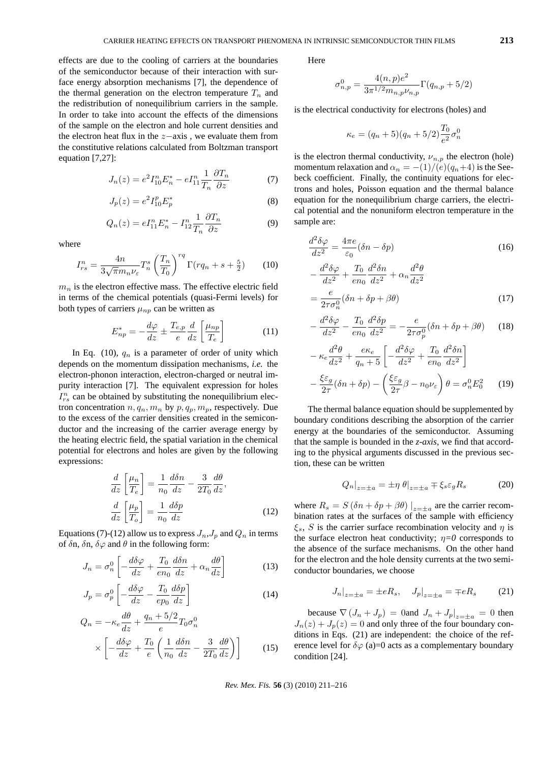effects are due to the cooling of carriers at the boundaries of the semiconductor because of their interaction with surface energy absorption mechanisms [7], the dependence of the thermal generation on the electron temperature  $T_n$  and the redistribution of nonequilibrium carriers in the sample. In order to take into account the effects of the dimensions of the sample on the electron and hole current densities and the electron heat flux in the  $z$ −axis, we evaluate them from the constitutive relations calculated from Boltzman transport equation [7,27]:

$$
J_n(z) = e^2 I_{10}^n E_n^* - e I_{11}^n \frac{1}{T_n} \frac{\partial T_n}{\partial z}
$$
 (7)

$$
J_p(z) = e^2 I_{10}^p E_p^*
$$
 (8)

$$
Q_n(z) = eI_{11}^n E_n^* - I_{12}^n \frac{1}{T_n} \frac{\partial T_n}{\partial z}
$$
 (9)

where

$$
I_{rs}^{n} = \frac{4n}{3\sqrt{\pi}m_{n}\nu_{\varepsilon}}T_{n}^{s}\left(\frac{T_{n}}{T_{0}}\right)^{rq}\Gamma(rq_{n} + s + \frac{5}{2})\tag{10}
$$

 $m_n$  is the electron effective mass. The effective electric field in terms of the chemical potentials (quasi-Fermi levels) for both types of carriers  $\mu_{np}$  can be written as

$$
E_{np}^* = -\frac{d\varphi}{dz} \pm \frac{T_{e,p}}{e} \frac{d}{dz} \left[ \frac{\mu_{np}}{T_e} \right]
$$
 (11)

In Eq. (10),  $q_n$  is a parameter of order of unity which depends on the momentum dissipation mechanisms, *i.e.* the electron-phonon interaction, electron-charged or neutral impurity interaction [7]. The equivalent expression for holes  $I_{rs}^{n}$  can be obtained by substituting the nonequilibrium electron concentration  $n, q_n, m_n$  by  $p, q_p, m_p$ , respectively. Due to the excess of the carrier densities created in the semiconductor and the increasing of the carrier average energy by the heating electric field, the spatial variation in the chemical potential for electrons and holes are given by the following expressions:

$$
\frac{d}{dz}\left[\frac{\mu_n}{T_e}\right] = \frac{1}{n_0}\frac{d\delta n}{dz} - \frac{3}{2T_0}\frac{d\theta}{dz},
$$
\n
$$
\frac{d}{dz}\left[\frac{\mu_p}{T_o}\right] = \frac{1}{n_0}\frac{d\delta p}{dz} \tag{12}
$$

Equations (7)-(12) allow us to express  $J_n, J_p$  and  $Q_n$  in terms of  $\delta$ n,  $\delta$ n,  $\delta \varphi$  and  $\theta$  in the following form:

$$
J_n = \sigma_n^0 \left[ -\frac{d\delta\varphi}{dz} + \frac{T_0}{en_0} \frac{d\delta n}{dz} + \alpha_n \frac{d\theta}{dz} \right]
$$
 (13)

$$
J_p = \sigma_p^0 \left[ -\frac{d\delta\varphi}{dz} - \frac{T_0}{ep_0} \frac{d\delta p}{dz} \right]
$$
 (14)

$$
Q_n = -\kappa_e \frac{d\theta}{dz} + \frac{q_n + 5/2}{e} T_0 \sigma_n^0
$$

$$
\times \left[ -\frac{d\delta\varphi}{dz} + \frac{T_0}{e} \left( \frac{1}{n_0} \frac{d\delta n}{dz} - \frac{3}{2T_0} \frac{d\theta}{dz} \right) \right]
$$
(15)

Here

 $\sim$ 

$$
\sigma_{n,p}^0 = \frac{4(n,p)e^2}{3\pi^{1/2}m_{n,p}\nu_{n,p}}\Gamma(q_{n,p}+5/2)
$$

is the electrical conductivity for electrons (holes) and

$$
\kappa_e = (q_n + 5)(q_n + 5/2) \frac{T_0}{e^2} \sigma_n^0
$$

is the electron thermal conductivity,  $\nu_{n,p}$  the electron (hole) momentum relaxation and  $\alpha_n = -(1)/(e)(q_n+4)$  is the Seebeck coefficient. Finally, the continuity equations for electrons and holes, Poisson equation and the thermal balance equation for the nonequilibrium charge carriers, the electrical potential and the nonuniform electron temperature in the sample are:

$$
\frac{d^2 \delta \varphi}{dz^2} = \frac{4\pi e}{\varepsilon_0} (\delta n - \delta p)
$$
(16)  

$$
-\frac{d^2 \delta \varphi}{dz^2} + \frac{T_0}{en_0} \frac{d^2 \delta n}{dz^2} + \alpha_n \frac{d^2 \theta}{dz^2}
$$
  

$$
=\frac{e}{2\tau \sigma_n^0} (\delta n + \delta p + \beta \theta)
$$
(17)

$$
-\frac{d^2\delta\varphi}{dz^2} - \frac{T_0}{en_0}\frac{d^2\delta p}{dz^2} = -\frac{e}{2\tau\sigma_p^0}(\delta n + \delta p + \beta \theta) \tag{18}
$$

$$
- \kappa_e \frac{d^2 \theta}{dz^2} + \frac{e\kappa_e}{q_n + 5} \left[ -\frac{d^2 \delta \varphi}{dz^2} + \frac{T_0}{e n_0} \frac{d^2 \delta n}{dz^2} \right]
$$

$$
- \frac{\xi \varepsilon_g}{2\tau} (\delta n + \delta p) - \left( \frac{\xi \varepsilon_g}{2\tau} \beta - n_0 \nu_\varepsilon \right) \theta = \sigma_n^0 E_0^2 \qquad (19)
$$

The thermal balance equation should be supplemented by boundary conditions describing the absorption of the carrier energy at the boundaries of the semiconductor. Assuming that the sample is bounded in the *z-axis,* we find that according to the physical arguments discussed in the previous section, these can be written

$$
Q_n|_{z=\pm a} = \pm \eta \; \theta|_{z=\pm a} \mp \xi_s \varepsilon_g R_s \tag{20}
$$

where  $R_s = S(\delta n + \delta p + \beta \theta) \big|_{z=\pm a}$  are the carrier recombination rates at the surfaces of the sample with efficiency  $\xi_s$ , S is the carrier surface recombination velocity and  $\eta$  is the surface electron heat conductivity;  $\eta = 0$  corresponds to the absence of the surface mechanisms. On the other hand for the electron and the hole density currents at the two semiconductor boundaries, we choose

$$
J_n|_{z=\pm a} = \pm eR_s, \quad J_p|_{z=\pm a} = \mp eR_s
$$
 (21)

because  $\nabla (J_n + J_p) = 0$  and  $J_n + J_p|_{z = \pm a} = 0$  then  $J_n(z) + J_p(z) = 0$  and only three of the four boundary conditions in Eqs. (21) are independent: the choice of the reference level for  $\delta\varphi$  (a)=0 acts as a complementary boundary condition [24].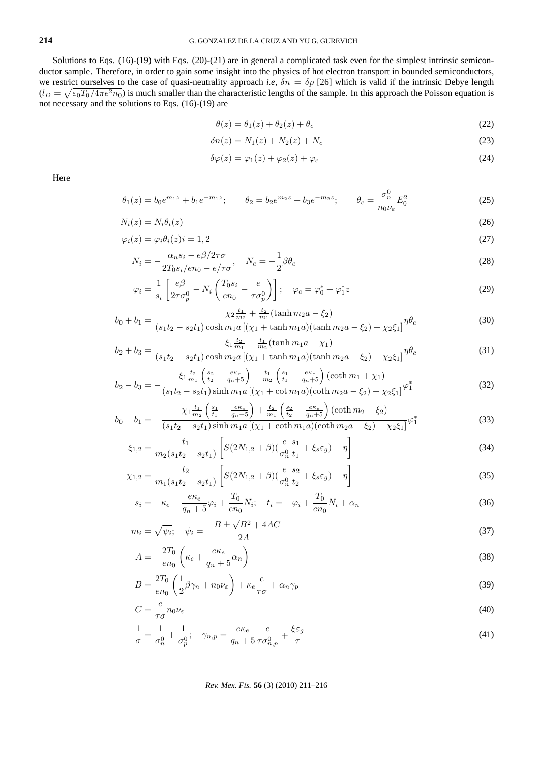Solutions to Eqs. (16)-(19) with Eqs. (20)-(21) are in general a complicated task even for the simplest intrinsic semiconductor sample. Therefore, in order to gain some insight into the physics of hot electron transport in bounded semiconductors, we restrict ourselves to the case of quasi-neutrality approach *i.e*,  $\delta n = \delta p$  [26] which is valid if the intrinsic Debye length  $(l_D = \sqrt{\epsilon_0 T_0 / 4\pi e^2 n_0})$  is much smaller than the characteristic lengths of the sample. In this approach the Poisson equation is not necessary and the solutions to Eqs. (16)-(19) are

$$
\theta(z) = \theta_1(z) + \theta_2(z) + \theta_c \tag{22}
$$

$$
\delta n(z) = N_1(z) + N_2(z) + N_c \tag{23}
$$

$$
\delta\varphi(z) = \varphi_1(z) + \varphi_2(z) + \varphi_c \tag{24}
$$

Here

 $b_2 -$ 

$$
\theta_1(z) = b_0 e^{m_1 z} + b_1 e^{-m_1 z}; \qquad \theta_2 = b_2 e^{m_2 z} + b_3 e^{-m_2 z}; \qquad \theta_c = \frac{\sigma_n^0}{n_0 \nu_\varepsilon} E_0^2 \tag{25}
$$

$$
N_i(z) = N_i \theta_i(z) \tag{26}
$$

$$
\varphi_i(z) = \varphi_i \theta_i(z) i = 1, 2 \tag{27}
$$

$$
N_i = -\frac{\alpha_n s_i - e\beta/2\tau\sigma}{2T_0 s_i/en_0 - e/\tau\sigma}, \quad N_c = -\frac{1}{2}\beta\theta_c
$$
\n
$$
(28)
$$

$$
\varphi_i = \frac{1}{s_i} \left[ \frac{e\beta}{2\tau \sigma_p^0} - N_i \left( \frac{T_0 s_i}{e n_0} - \frac{e}{\tau \sigma_p^0} \right) \right]; \quad \varphi_c = \varphi_0^* + \varphi_1^* z \tag{29}
$$

$$
b_0 + b_1 = \frac{\chi_2 \frac{t_1}{m_2} + \frac{t_2}{m_1} (\tanh m_2 a - \xi_2)}{(s_1 t_2 - s_2 t_1) \cosh m_1 a \left[ (\chi_1 + \tanh m_1 a)(\tanh m_2 a - \xi_2) + \chi_2 \xi_1 \right]} \eta \theta_c
$$
(30)

$$
b_2 + b_3 = \frac{\xi_1 \frac{t_2}{m_1} - \frac{t_1}{m_2} (\tanh m_1 a - \chi_1)}{(s_1 t_2 - s_2 t_1) \cosh m_2 a \left[ (\chi_1 + \tanh m_1 a)(\tanh m_2 a - \xi_2) + \chi_2 \xi_1 \right]} \eta \theta_c
$$
\n(31)

$$
b_3 = -\frac{\xi_1 \frac{t_2}{m_1} \left(\frac{s_2}{t_2} - \frac{e\kappa_e}{q_n + 5}\right) - \frac{t_1}{m_2} \left(\frac{s_1}{t_1} - \frac{e\kappa_e}{q_n + 5}\right) (\coth m_1 + \chi_1)}{(s_1 t_2 - s_2 t_1) \sinh m_1 a \left[ (\chi_1 + \cot m_1 a)(\coth m_2 a - \xi_2) + \chi_2 \xi_1 \right]} \varphi_1^*
$$
(32)

$$
b_0 - b_1 = -\frac{\chi_1 \frac{t_1}{m_2} \left(\frac{s_1}{t_1} - \frac{e\kappa_e}{q_n + 5}\right) + \frac{t_2}{m_1} \left(\frac{s_2}{t_2} - \frac{e\kappa_e}{q_n + 5}\right) (\coth m_2 - \xi_2)}{(s_1 t_2 - s_2 t_1) \sinh m_1 a \left[ (\chi_1 + \coth m_1 a)(\coth m_2 a - \xi_2) + \chi_2 \xi_1 \right]} \varphi_1^*
$$
(33)

$$
\xi_{1,2} = \frac{t_1}{m_2(s_1t_2 - s_2t_1)} \left[ S(2N_{1,2} + \beta) \left( \frac{e}{\sigma_n^0} \frac{s_1}{t_1} + \xi_s \varepsilon_g \right) - \eta \right]
$$
\n(34)

$$
\chi_{1,2} = \frac{t_2}{m_1(s_1t_2 - s_2t_1)} \left[ S(2N_{1,2} + \beta) \left( \frac{e}{\sigma_n^0} \frac{s_2}{t_2} + \xi_s \varepsilon_g \right) - \eta \right]
$$
(35)

$$
s_i = -\kappa_e - \frac{e\kappa_e}{q_n + 5}\varphi_i + \frac{T_0}{en_0}N_i; \quad t_i = -\varphi_i + \frac{T_0}{en_0}N_i + \alpha_n \tag{36}
$$

$$
m_i = \sqrt{\psi_i}; \quad \psi_i = \frac{-B \pm \sqrt{B^2 + 4AC}}{2A}
$$
 (37)

$$
A = -\frac{2T_0}{en_0} \left( \kappa_e + \frac{e\kappa_e}{q_n + 5} \alpha_n \right)
$$
 (38)

$$
B = \frac{2T_0}{en_0} \left( \frac{1}{2} \beta \gamma_n + n_0 \nu_\varepsilon \right) + \kappa_e \frac{e}{\tau \sigma} + \alpha_n \gamma_p \tag{39}
$$

$$
C = \frac{e}{\tau \sigma} n_0 \nu_\varepsilon \tag{40}
$$

$$
\frac{1}{\sigma} = \frac{1}{\sigma_n^0} + \frac{1}{\sigma_p^0}; \quad \gamma_{n,p} = \frac{e\kappa_e}{q_n + 5} \frac{e}{\tau \sigma_{n,p}^0} \mp \frac{\xi \varepsilon_g}{\tau}
$$
(41)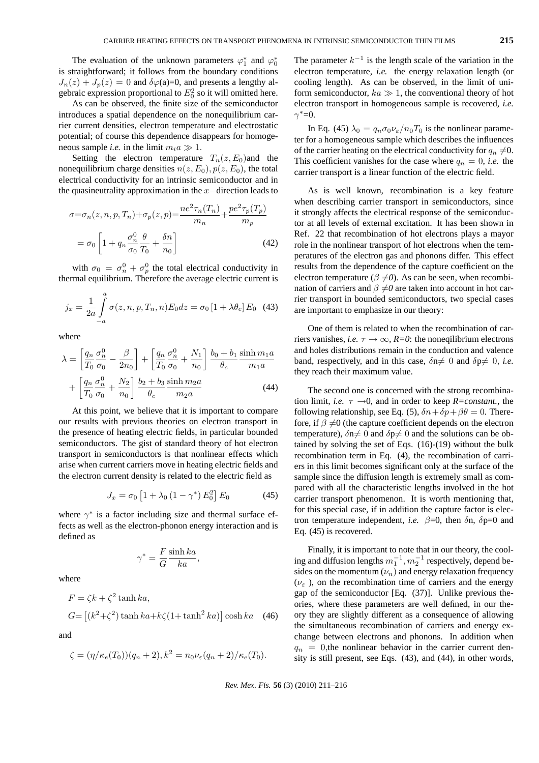The evaluation of the unknown parameters  $\varphi_1^*$  and  $\varphi_0^*$ is straightforward; it follows from the boundary conditions  $J_n(z) + J_p(z) = 0$  and  $\delta\varphi(z) = 0$ , and presents a lengthy algebraic expression proportional to  $E_0^2$  so it will omitted here.

As can be observed, the finite size of the semiconductor introduces a spatial dependence on the nonequilibrium carrier current densities, electron temperature and electrostatic potential; of course this dependence disappears for homogeneous sample *i.e.* in the limit  $m_i a \gg 1$ .

Setting the electron temperature  $T_n(z, E_0)$  and the nonequilibrium charge densities  $n(z, E_0)$ ,  $p(z, E_0)$ , the total electrical conductivity for an intrinsic semiconductor and in the quasineutrality approximation in the  $x$ −direction leads to

$$
\sigma = \sigma_n(z, n, p, T_n) + \sigma_p(z, p) = \frac{ne^2 \tau_n(T_n)}{m_n} + \frac{pe^2 \tau_p(T_p)}{m_p}
$$

$$
= \sigma_0 \left[ 1 + q_n \frac{\sigma_n^0}{\sigma_0} \frac{\theta}{T_0} + \frac{\delta n}{n_0} \right]
$$
(42)

with  $\sigma_0 = \sigma_n^0 + \sigma_p^0$  the total electrical conductivity in thermal equilibrium. Therefore the average electric current is

$$
j_x = \frac{1}{2a} \int_{-a}^{a} \sigma(z, n, p, T_n, n) E_0 dz = \sigma_0 [1 + \lambda \theta_c] E_0
$$
 (43)

where

$$
\lambda = \left[\frac{q_n}{T_0} \frac{\sigma_n^0}{\sigma_0} - \frac{\beta}{2n_0}\right] + \left[\frac{q_n}{T_0} \frac{\sigma_n^0}{\sigma_0} + \frac{N_1}{n_0}\right] \frac{b_0 + b_1}{\theta_c} \frac{\sinh m_1 a}{m_1 a}
$$

$$
+ \left[\frac{q_n}{T_0} \frac{\sigma_n^0}{\sigma_0} + \frac{N_2}{n_0}\right] \frac{b_2 + b_3}{\theta_c} \frac{\sinh m_2 a}{m_2 a} \tag{44}
$$

At this point, we believe that it is important to compare our results with previous theories on electron transport in the presence of heating electric fields, in particular bounded semiconductors. The gist of standard theory of hot electron transport in semiconductors is that nonlinear effects which arise when current carriers move in heating electric fields and the electron current density is related to the electric field as

$$
J_x = \sigma_0 \left[ 1 + \lambda_0 \left( 1 - \gamma^* \right) E_0^2 \right] E_0 \tag{45}
$$

where  $\gamma^*$  is a factor including size and thermal surface effects as well as the electron-phonon energy interaction and is defined as

$$
\gamma^* = \frac{F \sinh ka}{G}
$$

where

$$
F = \zeta k + \zeta^2 \tanh ka,
$$
  
\n
$$
G = \left[ (k^2 + \zeta^2) \tanh ka + k\zeta (1 + \tanh^2 ka) \right] \cosh ka \quad (46)
$$

and

$$
\zeta = (\eta/\kappa_e(T_0))(q_n+2), k^2 = n_0\nu_{\varepsilon}(q_n+2)/\kappa_e(T_0).
$$

The parameter  $k^{-1}$  is the length scale of the variation in the electron temperature, *i.e.* the energy relaxation length (or cooling length). As can be observed, in the limit of uniform semiconductor,  $ka \gg 1$ , the conventional theory of hot electron transport in homogeneous sample is recovered, *i.e.*  $\gamma^* = 0$ .

In Eq. (45)  $\lambda_0 = q_n \sigma_0 \nu_\varepsilon / n_0 T_0$  is the nonlinear parameter for a homogeneous sample which describes the influences of the carrier heating on the electrical conductivity for  $q_n \neq 0$ . This coefficient vanishes for the case where  $q_n = 0$ , *i.e.* the carrier transport is a linear function of the electric field.

As is well known, recombination is a key feature when describing carrier transport in semiconductors, since it strongly affects the electrical response of the semiconductor at all levels of external excitation. It has been shown in Ref. 22 that recombination of hot electrons plays a mayor role in the nonlinear transport of hot electrons when the temperatures of the electron gas and phonons differ. This effect results from the dependence of the capture coefficient on the electron temperature ( $\beta \neq 0$ ). As can be seen, when recombination of carriers and  $\beta \neq 0$  are taken into account in hot carrier transport in bounded semiconductors, two special cases are important to emphasize in our theory:

One of them is related to when the recombination of carriers vanishes, *i.e.*  $\tau \rightarrow \infty$ ,  $R=0$ : the noneqilibrium electrons and holes distributions remain in the conduction and valence band, respectively, and in this case,  $\delta n \neq 0$  and  $\delta p \neq 0$ , *i.e.* they reach their maximum value.

The second one is concerned with the strong recombination limit, *i.e.*  $\tau \rightarrow 0$ , and in order to keep *R*=constant., the following relationship, see Eq. (5),  $\delta n + \delta p + \beta \theta = 0$ . Therefore, if  $\beta \neq 0$  (the capture coefficient depends on the electron temperature),  $\delta n \neq 0$  and  $\delta p \neq 0$  and the solutions can be obtained by solving the set of Eqs. (16)-(19) without the bulk recombination term in Eq. (4), the recombination of carriers in this limit becomes significant only at the surface of the sample since the diffusion length is extremely small as compared with all the characteristic lengths involved in the hot carrier transport phenomenon. It is worth mentioning that, for this special case, if in addition the capture factor is electron temperature independent, *i.e.*  $\beta=0$ , then  $\delta$ n,  $\delta p=0$  and Eq. (45) is recovered.

Finally, it is important to note that in our theory, the cooling and diffusion lengths  $m_1^{-1}$ ,  $m_2^{-1}$  respectively, depend besides on the momentum  $(\nu_n)$  and energy relaxation frequency  $(\nu_{\varepsilon})$ , on the recombination time of carriers and the energy gap of the semiconductor [Eq. (37)]. Unlike previous theories, where these parameters are well defined, in our theory they are slightly different as a consequence of allowing the simultaneous recombination of carriers and energy exchange between electrons and phonons. In addition when  $q_n = 0$ , the nonlinear behavior in the carrier current density is still present, see Eqs. (43), and (44), in other words,